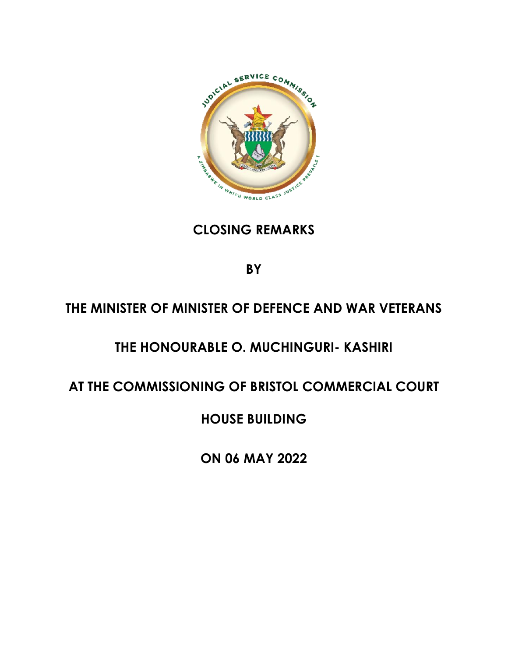

### **CLOSING REMARKS**

**BY**

# **THE MINISTER OF MINISTER OF DEFENCE AND WAR VETERANS**

# **THE HONOURABLE O. MUCHINGURI- KASHIRI**

### **AT THE COMMISSIONING OF BRISTOL COMMERCIAL COURT**

### **HOUSE BUILDING**

**ON 06 MAY 2022**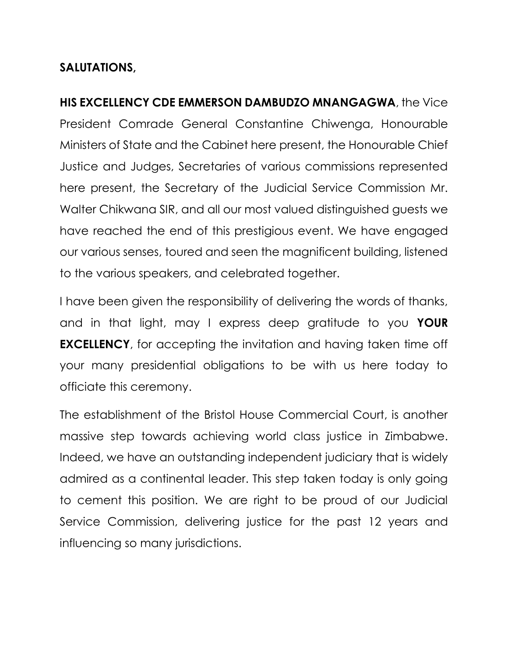#### **SALUTATIONS,**

**HIS EXCELLENCY CDE EMMERSON DAMBUDZO MNANGAGWA**, the Vice President Comrade General Constantine Chiwenga, Honourable Ministers of State and the Cabinet here present, the Honourable Chief Justice and Judges, Secretaries of various commissions represented here present, the Secretary of the Judicial Service Commission Mr. Walter Chikwana SIR, and all our most valued distinguished guests we have reached the end of this prestigious event. We have engaged our various senses, toured and seen the magnificent building, listened to the various speakers, and celebrated together.

I have been given the responsibility of delivering the words of thanks, and in that light, may I express deep gratitude to you **YOUR EXCELLENCY**, for accepting the invitation and having taken time off your many presidential obligations to be with us here today to officiate this ceremony.

The establishment of the Bristol House Commercial Court, is another massive step towards achieving world class justice in Zimbabwe. Indeed, we have an outstanding independent judiciary that is widely admired as a continental leader. This step taken today is only going to cement this position. We are right to be proud of our Judicial Service Commission, delivering justice for the past 12 years and influencing so many jurisdictions.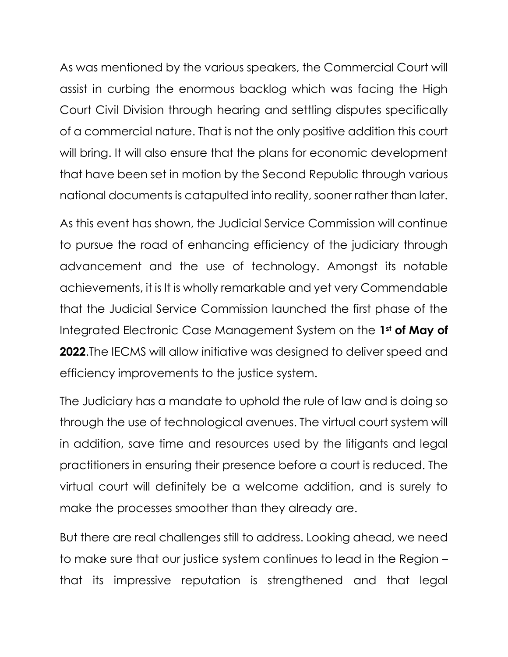As was mentioned by the various speakers, the Commercial Court will assist in curbing the enormous backlog which was facing the High Court Civil Division through hearing and settling disputes specifically of a commercial nature. That is not the only positive addition this court will bring. It will also ensure that the plans for economic development that have been set in motion by the Second Republic through various national documents is catapulted into reality, sooner rather than later.

As this event has shown, the Judicial Service Commission will continue to pursue the road of enhancing efficiency of the judiciary through advancement and the use of technology. Amongst its notable achievements, it is It is wholly remarkable and yet very Commendable that the Judicial Service Commission launched the first phase of the Integrated Electronic Case Management System on the **1st of May of 2022**.The IECMS will allow initiative was designed to deliver speed and efficiency improvements to the justice system.

The Judiciary has a mandate to uphold the rule of law and is doing so through the use of technological avenues. The virtual court system will in addition, save time and resources used by the litigants and legal practitioners in ensuring their presence before a court is reduced. The virtual court will definitely be a welcome addition, and is surely to make the processes smoother than they already are.

But there are real challenges still to address. Looking ahead, we need to make sure that our justice system continues to lead in the Region – that its impressive reputation is strengthened and that legal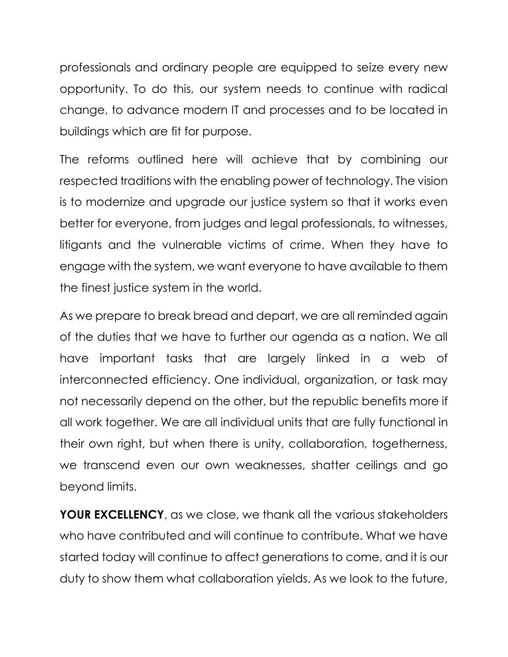professionals and ordinary people are equipped to seize every new opportunity. To do this, our system needs to continue with radical change, to advance modern IT and processes and to be located in buildings which are fit for purpose.

The reforms outlined here will achieve that by combining our respected traditions with the enabling power of technology. The vision is to modernize and upgrade our justice system so that it works even better for everyone, from judges and legal professionals, to witnesses, litigants and the vulnerable victims of crime. When they have to engage with the system, we want everyone to have available to them the finest justice system in the world.

As we prepare to break bread and depart, we are all reminded again of the duties that we have to further our agenda as a nation. We all have important tasks that are largely linked in a web of interconnected efficiency. One individual, organization, or task may not necessarily depend on the other, but the republic benefits more if all work together. We are all individual units that are fully functional in their own right, but when there is unity, collaboration, togetherness, we transcend even our own weaknesses, shatter ceilings and go beyond limits.

**YOUR EXCELLENCY**, as we close, we thank all the various stakeholders who have contributed and will continue to contribute. What we have started today will continue to affect generations to come, and it is our duty to show them what collaboration yields. As we look to the future,